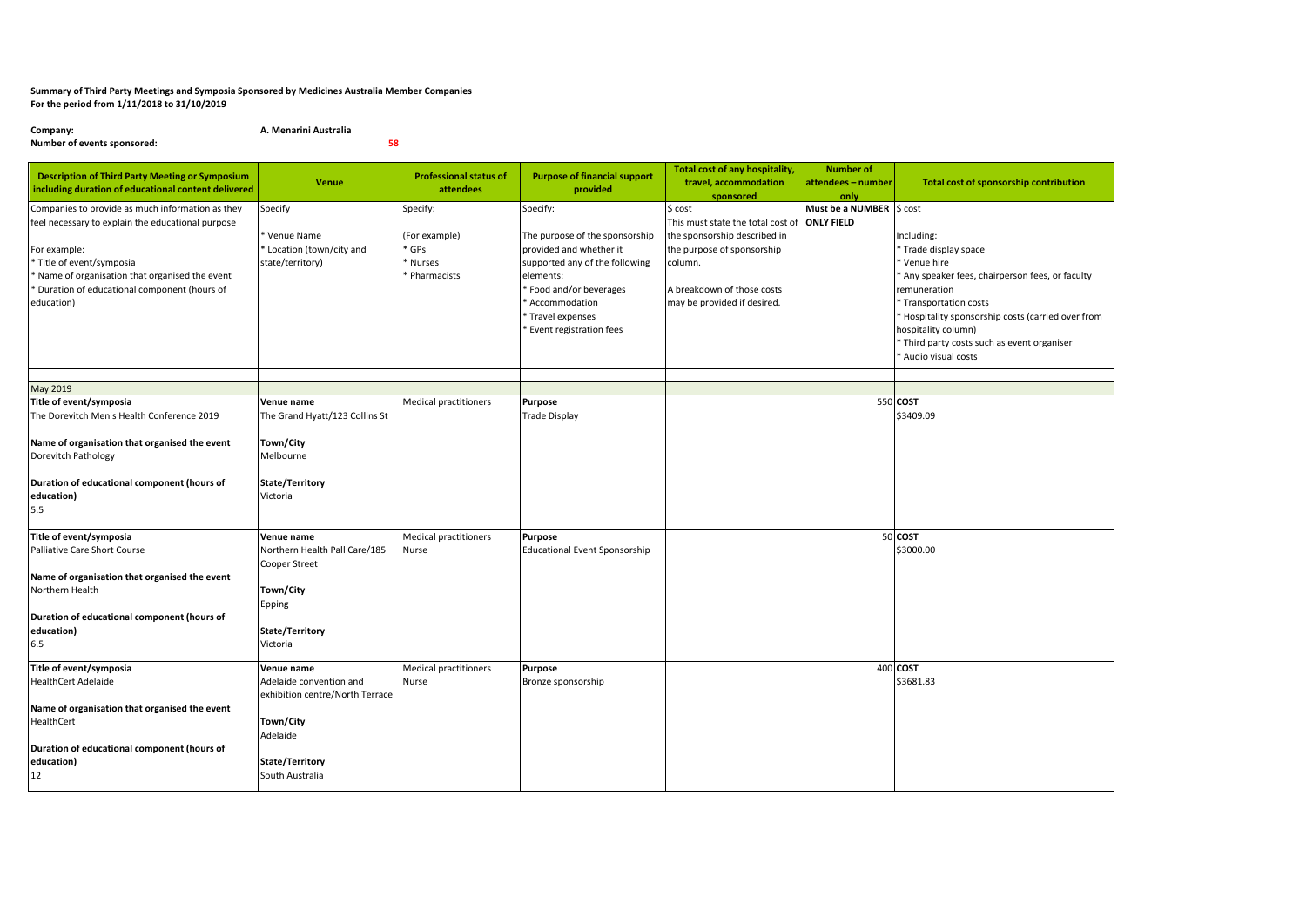## **Summary of Third Party Meetings and Symposia Sponsored by Medicines Australia Member Companies For the period from 1/11/2018 to 31/10/2019**

**Company: A. Menarini Australia Number of events sponsored: 58**

| <b>Description of Third Party Meeting or Symposium</b><br>including duration of educational content delivered                                                                                                                                                        | <b>Venue</b>                                                                                                                            | <b>Professional status of</b><br>attendees                | <b>Purpose of financial support</b><br>provided                                                                                                                                                                         | Total cost of any hospitality,<br>travel, accommodation<br>sponsored                                                                                                               | <b>Number of</b><br>attendees - number<br>only | Total cost of sponsorship contribution                                                                                                                                                                                                                                                            |
|----------------------------------------------------------------------------------------------------------------------------------------------------------------------------------------------------------------------------------------------------------------------|-----------------------------------------------------------------------------------------------------------------------------------------|-----------------------------------------------------------|-------------------------------------------------------------------------------------------------------------------------------------------------------------------------------------------------------------------------|------------------------------------------------------------------------------------------------------------------------------------------------------------------------------------|------------------------------------------------|---------------------------------------------------------------------------------------------------------------------------------------------------------------------------------------------------------------------------------------------------------------------------------------------------|
| Companies to provide as much information as they<br>feel necessary to explain the educational purpose<br>For example:<br>* Title of event/symposia<br>* Name of organisation that organised the event<br>* Duration of educational component (hours of<br>education) | Specify<br>Venue Name<br>Location (town/city and<br>state/territory)                                                                    | Specify:<br>(For example)<br>GPs<br>Nurses<br>Pharmacists | Specify:<br>The purpose of the sponsorship<br>provided and whether it<br>supported any of the following<br>elements:<br>* Food and/or beverages<br>* Accommodation<br>Travel expenses<br><b>Event registration fees</b> | \$ cost<br>This must state the total cost of<br>the sponsorship described in<br>the purpose of sponsorship<br>column.<br>A breakdown of those costs<br>may be provided if desired. | Must be a NUMBER S cost<br><b>ONLY FIELD</b>   | Including:<br>* Trade display space<br>* Venue hire<br>Any speaker fees, chairperson fees, or faculty<br>remuneration<br>* Transportation costs<br>* Hospitality sponsorship costs (carried over from<br>hospitality column)<br>* Third party costs such as event organiser<br>Audio visual costs |
|                                                                                                                                                                                                                                                                      |                                                                                                                                         |                                                           |                                                                                                                                                                                                                         |                                                                                                                                                                                    |                                                |                                                                                                                                                                                                                                                                                                   |
| May 2019<br>Title of event/symposia<br>The Dorevitch Men's Health Conference 2019<br>Name of organisation that organised the event<br>Dorevitch Pathology<br>Duration of educational component (hours of<br>education)<br>5.5                                        | Venue name<br>The Grand Hyatt/123 Collins St<br>Town/City<br>Melbourne<br>State/Territory<br>Victoria                                   | <b>Medical practitioners</b>                              | Purpose<br><b>Trade Display</b>                                                                                                                                                                                         |                                                                                                                                                                                    |                                                | 550 COST<br>\$3409.09                                                                                                                                                                                                                                                                             |
| Title of event/symposia<br>Palliative Care Short Course<br>Name of organisation that organised the event<br>Northern Health<br>Duration of educational component (hours of<br>education)<br>6.5                                                                      | Venue name<br>Northern Health Pall Care/185<br>Cooper Street<br>Town/City<br>Epping<br>State/Territory<br>Victoria                      | <b>Medical practitioners</b><br>Nurse                     | <b>Purpose</b><br><b>Educational Event Sponsorship</b>                                                                                                                                                                  |                                                                                                                                                                                    |                                                | 50 COST<br>\$3000.00                                                                                                                                                                                                                                                                              |
| Title of event/symposia<br><b>HealthCert Adelaide</b><br>Name of organisation that organised the event<br>HealthCert<br>Duration of educational component (hours of<br>education)<br>12                                                                              | Venue name<br>Adelaide convention and<br>exhibition centre/North Terrace<br>Town/City<br>Adelaide<br>State/Territory<br>South Australia | <b>Medical practitioners</b><br>Nurse                     | Purpose<br>Bronze sponsorship                                                                                                                                                                                           |                                                                                                                                                                                    |                                                | 400 COST<br>\$3681.83                                                                                                                                                                                                                                                                             |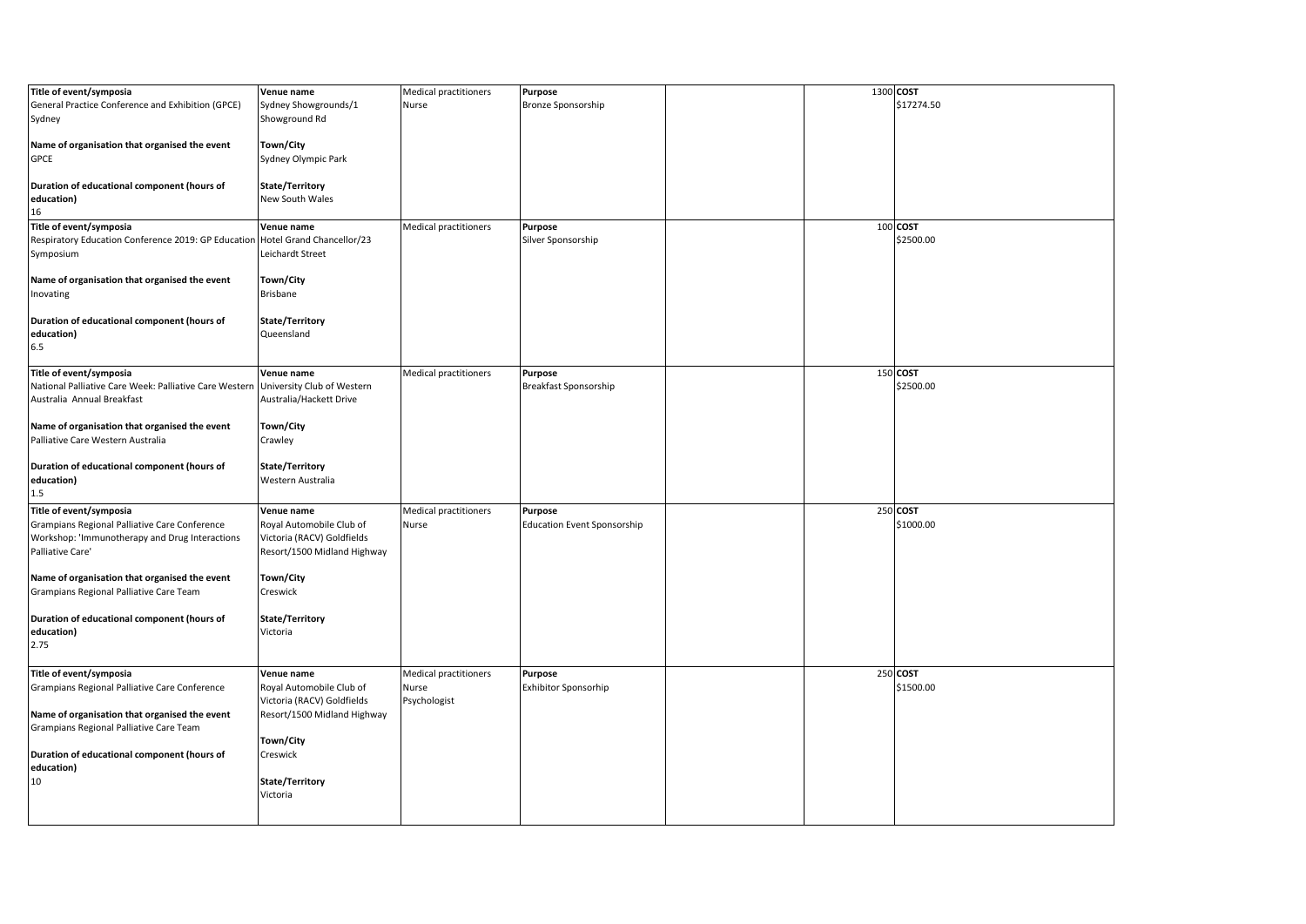| Title of event/symposia                                                                  | Venue name                              | <b>Medical practitioners</b> | Purpose                              |  | 1300 COST  |
|------------------------------------------------------------------------------------------|-----------------------------------------|------------------------------|--------------------------------------|--|------------|
| General Practice Conference and Exhibition (GPCE)<br>Sydney                              | Sydney Showgrounds/1<br>Showground Rd   | Nurse                        | <b>Bronze Sponsorship</b>            |  | \$17274.50 |
|                                                                                          |                                         |                              |                                      |  |            |
| Name of organisation that organised the event                                            | Town/City                               |                              |                                      |  |            |
| <b>GPCE</b>                                                                              | Sydney Olympic Park                     |                              |                                      |  |            |
| Duration of educational component (hours of                                              | State/Territory                         |                              |                                      |  |            |
| education)                                                                               | New South Wales                         |                              |                                      |  |            |
| 16                                                                                       |                                         |                              |                                      |  | 100 COST   |
| Title of event/symposia<br>Respiratory Education Conference 2019: GP Education           | Venue name<br>Hotel Grand Chancellor/23 | <b>Medical practitioners</b> | <b>Purpose</b><br>Silver Sponsorship |  | \$2500.00  |
| Symposium                                                                                | Leichardt Street                        |                              |                                      |  |            |
|                                                                                          |                                         |                              |                                      |  |            |
| Name of organisation that organised the event                                            | Town/City<br><b>Brisbane</b>            |                              |                                      |  |            |
| Inovating                                                                                |                                         |                              |                                      |  |            |
| Duration of educational component (hours of                                              | State/Territory                         |                              |                                      |  |            |
| education)                                                                               | Queensland                              |                              |                                      |  |            |
| 6.5                                                                                      |                                         |                              |                                      |  |            |
| Title of event/symposia                                                                  | Venue name                              | <b>Medical practitioners</b> | <b>Purpose</b>                       |  | 150 COST   |
| National Palliative Care Week: Palliative Care Western                                   | University Club of Western              |                              | Breakfast Sponsorship                |  | \$2500.00  |
| Australia Annual Breakfast                                                               | Australia/Hackett Drive                 |                              |                                      |  |            |
| Name of organisation that organised the event                                            | Town/City                               |                              |                                      |  |            |
| Palliative Care Western Australia                                                        | Crawley                                 |                              |                                      |  |            |
|                                                                                          |                                         |                              |                                      |  |            |
| Duration of educational component (hours of                                              | State/Territory                         |                              |                                      |  |            |
| education)<br>1.5                                                                        | Western Australia                       |                              |                                      |  |            |
| Title of event/symposia                                                                  | Venue name                              | <b>Medical practitioners</b> | Purpose                              |  | 250 COST   |
| Grampians Regional Palliative Care Conference                                            | Royal Automobile Club of                | Nurse                        | <b>Education Event Sponsorship</b>   |  | \$1000.00  |
| Workshop: 'Immunotherapy and Drug Interactions                                           | Victoria (RACV) Goldfields              |                              |                                      |  |            |
| Palliative Care'                                                                         | Resort/1500 Midland Highway             |                              |                                      |  |            |
| Name of organisation that organised the event                                            | Town/City                               |                              |                                      |  |            |
| Grampians Regional Palliative Care Team                                                  | Creswick                                |                              |                                      |  |            |
|                                                                                          |                                         |                              |                                      |  |            |
| Duration of educational component (hours of                                              | State/Territory                         |                              |                                      |  |            |
| education)<br>2.75                                                                       | Victoria                                |                              |                                      |  |            |
|                                                                                          |                                         |                              |                                      |  |            |
| Title of event/symposia                                                                  | Venue name                              | <b>Medical practitioners</b> | Purpose                              |  | 250 COST   |
| Grampians Regional Palliative Care Conference                                            | Royal Automobile Club of                | Nurse                        | <b>Exhibitor Sponsorhip</b>          |  | \$1500.00  |
|                                                                                          | Victoria (RACV) Goldfields              | Psychologist                 |                                      |  |            |
| Name of organisation that organised the event<br>Grampians Regional Palliative Care Team | Resort/1500 Midland Highway             |                              |                                      |  |            |
|                                                                                          | Town/City                               |                              |                                      |  |            |
| Duration of educational component (hours of                                              | Creswick                                |                              |                                      |  |            |
| education)                                                                               |                                         |                              |                                      |  |            |
| 10                                                                                       | State/Territory<br>Victoria             |                              |                                      |  |            |
|                                                                                          |                                         |                              |                                      |  |            |
|                                                                                          |                                         |                              |                                      |  |            |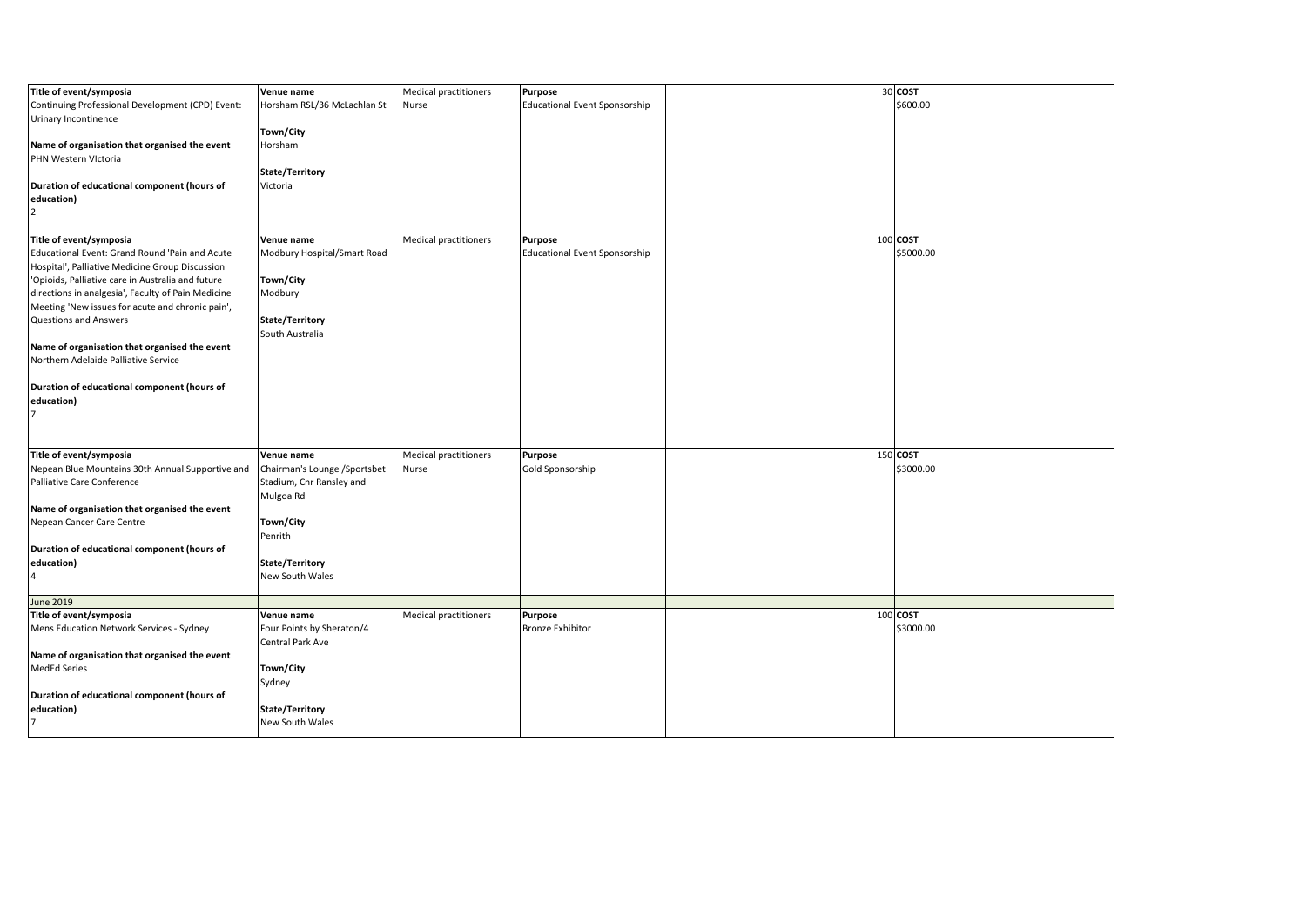| Title of event/symposia                            | Venue name                   | <b>Medical practitioners</b> | Purpose                              |  | 30 COST   |
|----------------------------------------------------|------------------------------|------------------------------|--------------------------------------|--|-----------|
|                                                    |                              |                              |                                      |  | \$600.00  |
| Continuing Professional Development (CPD) Event:   | Horsham RSL/36 McLachlan St  | Nurse                        | <b>Educational Event Sponsorship</b> |  |           |
| Urinary Incontinence                               |                              |                              |                                      |  |           |
|                                                    | Town/City                    |                              |                                      |  |           |
| Name of organisation that organised the event      | Horsham                      |                              |                                      |  |           |
| PHN Western Victoria                               |                              |                              |                                      |  |           |
|                                                    | State/Territory              |                              |                                      |  |           |
| Duration of educational component (hours of        | Victoria                     |                              |                                      |  |           |
| education)                                         |                              |                              |                                      |  |           |
| $\overline{2}$                                     |                              |                              |                                      |  |           |
|                                                    |                              |                              |                                      |  |           |
| Title of event/symposia                            | Venue name                   | Medical practitioners        | Purpose                              |  | 100 COST  |
|                                                    |                              |                              |                                      |  |           |
| Educational Event: Grand Round 'Pain and Acute     | Modbury Hospital/Smart Road  |                              | <b>Educational Event Sponsorship</b> |  | \$5000.00 |
| Hospital', Palliative Medicine Group Discussion    |                              |                              |                                      |  |           |
| 'Opioids, Palliative care in Australia and future  | Town/City                    |                              |                                      |  |           |
| directions in analgesia', Faculty of Pain Medicine | Modbury                      |                              |                                      |  |           |
| Meeting 'New issues for acute and chronic pain',   |                              |                              |                                      |  |           |
| Questions and Answers                              | State/Territory              |                              |                                      |  |           |
|                                                    | South Australia              |                              |                                      |  |           |
| Name of organisation that organised the event      |                              |                              |                                      |  |           |
| Northern Adelaide Palliative Service               |                              |                              |                                      |  |           |
|                                                    |                              |                              |                                      |  |           |
| Duration of educational component (hours of        |                              |                              |                                      |  |           |
| education)                                         |                              |                              |                                      |  |           |
|                                                    |                              |                              |                                      |  |           |
| $\overline{7}$                                     |                              |                              |                                      |  |           |
|                                                    |                              |                              |                                      |  |           |
|                                                    |                              |                              |                                      |  |           |
| Title of event/symposia                            | Venue name                   | <b>Medical practitioners</b> | Purpose                              |  | 150 COST  |
| Nepean Blue Mountains 30th Annual Supportive and   | Chairman's Lounge /Sportsbet | Nurse                        | Gold Sponsorship                     |  | \$3000.00 |
| Palliative Care Conference                         | Stadium, Cnr Ransley and     |                              |                                      |  |           |
|                                                    | Mulgoa Rd                    |                              |                                      |  |           |
| Name of organisation that organised the event      |                              |                              |                                      |  |           |
| Nepean Cancer Care Centre                          | Town/City                    |                              |                                      |  |           |
|                                                    | Penrith                      |                              |                                      |  |           |
| Duration of educational component (hours of        |                              |                              |                                      |  |           |
| education)                                         | State/Territory              |                              |                                      |  |           |
| $\overline{4}$                                     | New South Wales              |                              |                                      |  |           |
|                                                    |                              |                              |                                      |  |           |
| <b>June 2019</b>                                   |                              |                              |                                      |  |           |
| Title of event/symposia                            | Venue name                   | Medical practitioners        | <b>Purpose</b>                       |  | 100 COST  |
| Mens Education Network Services - Sydney           | Four Points by Sheraton/4    |                              | <b>Bronze Exhibitor</b>              |  | \$3000.00 |
|                                                    | Central Park Ave             |                              |                                      |  |           |
| Name of organisation that organised the event      |                              |                              |                                      |  |           |
| <b>MedEd Series</b>                                | Town/City                    |                              |                                      |  |           |
|                                                    |                              |                              |                                      |  |           |
|                                                    | Sydney                       |                              |                                      |  |           |
| Duration of educational component (hours of        |                              |                              |                                      |  |           |
| education)                                         | State/Territory              |                              |                                      |  |           |
| 7                                                  | New South Wales              |                              |                                      |  |           |
|                                                    |                              |                              |                                      |  |           |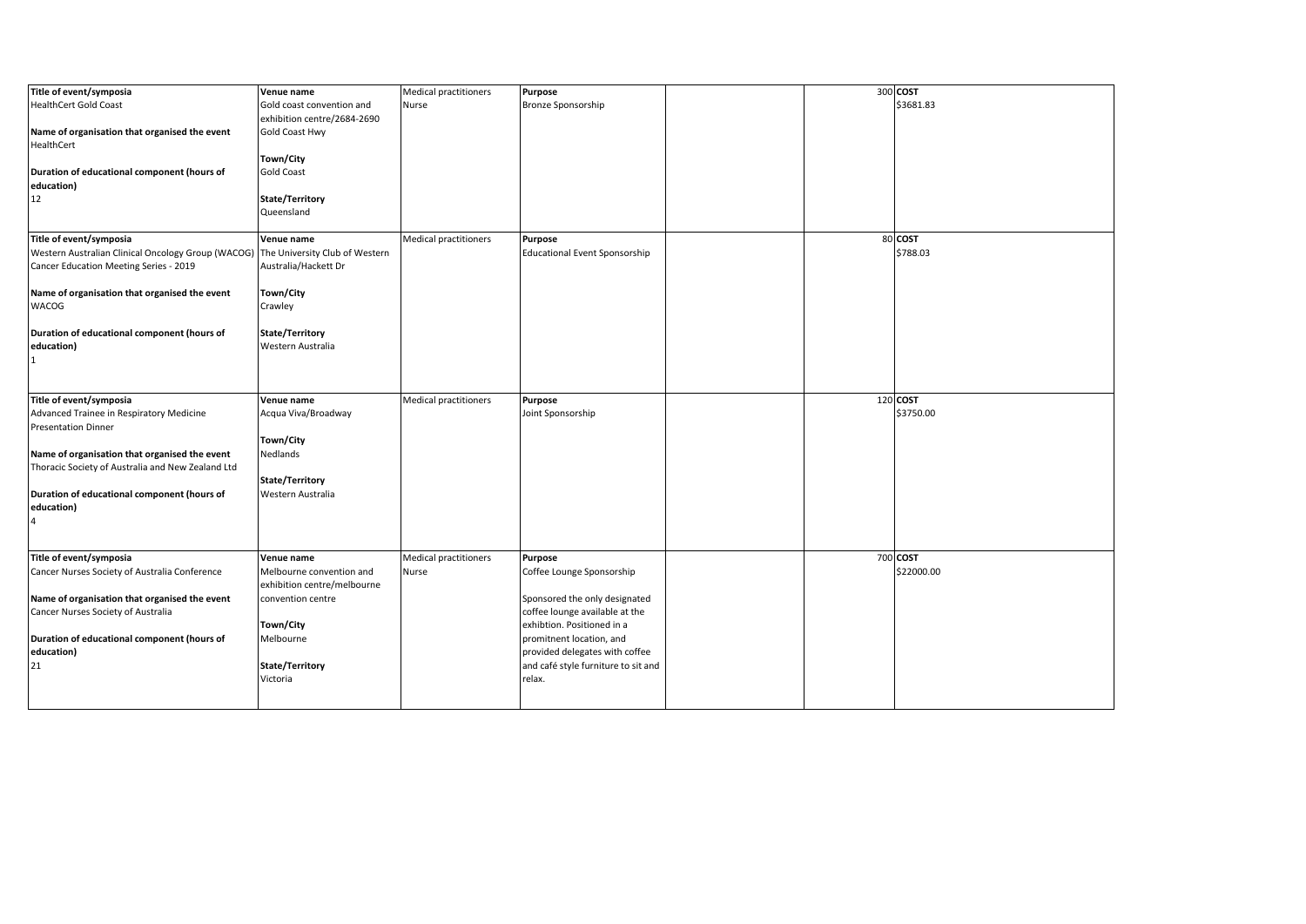| Title of event/symposia                                                           | Venue name                  | <b>Medical practitioners</b> | Purpose                              |  | 300 COST   |
|-----------------------------------------------------------------------------------|-----------------------------|------------------------------|--------------------------------------|--|------------|
| <b>HealthCert Gold Coast</b>                                                      | Gold coast convention and   | Nurse                        | Bronze Sponsorship                   |  | \$3681.83  |
|                                                                                   | exhibition centre/2684-2690 |                              |                                      |  |            |
| Name of organisation that organised the event                                     | Gold Coast Hwy              |                              |                                      |  |            |
| HealthCert                                                                        |                             |                              |                                      |  |            |
|                                                                                   | Town/City                   |                              |                                      |  |            |
| Duration of educational component (hours of                                       | Gold Coast                  |                              |                                      |  |            |
| education)                                                                        |                             |                              |                                      |  |            |
| 12                                                                                | State/Territory             |                              |                                      |  |            |
|                                                                                   | Queensland                  |                              |                                      |  |            |
|                                                                                   |                             |                              |                                      |  |            |
| Title of event/symposia                                                           | Venue name                  | Medical practitioners        | Purpose                              |  | 80 COST    |
| Western Australian Clinical Oncology Group (WACOG) The University Club of Western |                             |                              | <b>Educational Event Sponsorship</b> |  | \$788.03   |
| Cancer Education Meeting Series - 2019                                            | Australia/Hackett Dr        |                              |                                      |  |            |
|                                                                                   |                             |                              |                                      |  |            |
| Name of organisation that organised the event                                     | Town/City                   |                              |                                      |  |            |
| <b>WACOG</b>                                                                      | Crawley                     |                              |                                      |  |            |
|                                                                                   |                             |                              |                                      |  |            |
| Duration of educational component (hours of                                       | State/Territory             |                              |                                      |  |            |
| education)                                                                        | Western Australia           |                              |                                      |  |            |
| $\mathbf{1}$                                                                      |                             |                              |                                      |  |            |
|                                                                                   |                             |                              |                                      |  |            |
|                                                                                   |                             |                              |                                      |  | 120 COST   |
| Title of event/symposia                                                           | Venue name                  | Medical practitioners        | Purpose                              |  |            |
|                                                                                   |                             |                              |                                      |  |            |
| Advanced Trainee in Respiratory Medicine                                          | Acqua Viva/Broadway         |                              | Joint Sponsorship                    |  | \$3750.00  |
| <b>Presentation Dinner</b>                                                        |                             |                              |                                      |  |            |
|                                                                                   | Town/City                   |                              |                                      |  |            |
| Name of organisation that organised the event                                     | Nedlands                    |                              |                                      |  |            |
| Thoracic Society of Australia and New Zealand Ltd                                 |                             |                              |                                      |  |            |
|                                                                                   | State/Territory             |                              |                                      |  |            |
| Duration of educational component (hours of                                       | Western Australia           |                              |                                      |  |            |
| education)                                                                        |                             |                              |                                      |  |            |
| $\overline{4}$                                                                    |                             |                              |                                      |  |            |
|                                                                                   |                             |                              |                                      |  |            |
| Title of event/symposia                                                           | Venue name                  | Medical practitioners        | Purpose                              |  | 700 COST   |
| Cancer Nurses Society of Australia Conference                                     | Melbourne convention and    | Nurse                        | Coffee Lounge Sponsorship            |  | \$22000.00 |
|                                                                                   | exhibition centre/melbourne |                              |                                      |  |            |
| Name of organisation that organised the event                                     | convention centre           |                              | Sponsored the only designated        |  |            |
| Cancer Nurses Society of Australia                                                |                             |                              | coffee lounge available at the       |  |            |
|                                                                                   | Town/City                   |                              | exhibtion. Positioned in a           |  |            |
| Duration of educational component (hours of                                       | Melbourne                   |                              | promitnent location, and             |  |            |
| education)                                                                        |                             |                              | provided delegates with coffee       |  |            |
| 21                                                                                | State/Territory             |                              | and café style furniture to sit and  |  |            |
|                                                                                   | Victoria                    |                              | relax.                               |  |            |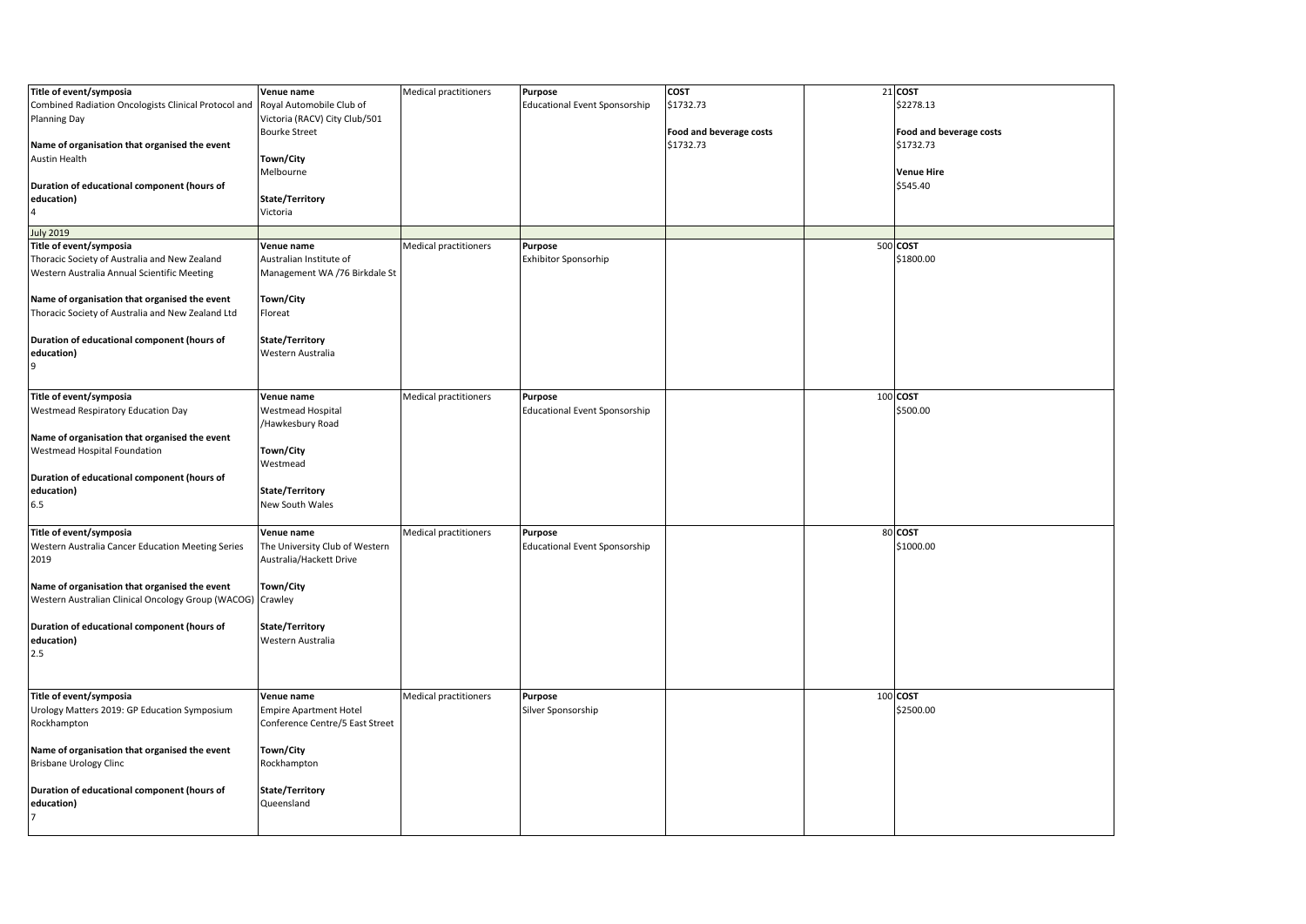| Title of event/symposia                                                       | Venue name                      | Medical practitioners | Purpose                              | <b>COST</b>             | 21 COST                 |
|-------------------------------------------------------------------------------|---------------------------------|-----------------------|--------------------------------------|-------------------------|-------------------------|
| Combined Radiation Oncologists Clinical Protocol and Royal Automobile Club of |                                 |                       | <b>Educational Event Sponsorship</b> | \$1732.73               | \$2278.13               |
| <b>Planning Day</b>                                                           | Victoria (RACV) City Club/501   |                       |                                      |                         |                         |
|                                                                               | <b>Bourke Street</b>            |                       |                                      |                         |                         |
|                                                                               |                                 |                       |                                      | Food and beverage costs | Food and beverage costs |
| Name of organisation that organised the event                                 |                                 |                       |                                      | \$1732.73               | \$1732.73               |
| Austin Health                                                                 | Town/City                       |                       |                                      |                         |                         |
|                                                                               | Melbourne                       |                       |                                      |                         | <b>Venue Hire</b>       |
| Duration of educational component (hours of                                   |                                 |                       |                                      |                         | \$545.40                |
| education)                                                                    | State/Territory                 |                       |                                      |                         |                         |
| $\overline{4}$                                                                | Victoria                        |                       |                                      |                         |                         |
| <b>July 2019</b>                                                              |                                 |                       |                                      |                         |                         |
|                                                                               |                                 |                       |                                      |                         |                         |
| Title of event/symposia                                                       | Venue name                      | Medical practitioners | Purpose                              |                         | 500 COST                |
| Thoracic Society of Australia and New Zealand                                 | Australian Institute of         |                       | <b>Exhibitor Sponsorhip</b>          |                         | \$1800.00               |
| Western Australia Annual Scientific Meeting                                   | Management WA /76 Birkdale St   |                       |                                      |                         |                         |
|                                                                               |                                 |                       |                                      |                         |                         |
| Name of organisation that organised the event                                 | Town/City                       |                       |                                      |                         |                         |
| Thoracic Society of Australia and New Zealand Ltd                             | Floreat                         |                       |                                      |                         |                         |
|                                                                               |                                 |                       |                                      |                         |                         |
| Duration of educational component (hours of                                   | State/Territory                 |                       |                                      |                         |                         |
| education)                                                                    | Western Australia               |                       |                                      |                         |                         |
| 9                                                                             |                                 |                       |                                      |                         |                         |
|                                                                               |                                 |                       |                                      |                         |                         |
| Title of event/symposia                                                       | Venue name                      | Medical practitioners | Purpose                              |                         | 100 COST                |
| <b>Westmead Respiratory Education Day</b>                                     | <b>Westmead Hospital</b>        |                       | <b>Educational Event Sponsorship</b> |                         | \$500.00                |
|                                                                               |                                 |                       |                                      |                         |                         |
|                                                                               | /Hawkesbury Road                |                       |                                      |                         |                         |
| Name of organisation that organised the event                                 |                                 |                       |                                      |                         |                         |
| Westmead Hospital Foundation                                                  | Town/City                       |                       |                                      |                         |                         |
|                                                                               | Westmead                        |                       |                                      |                         |                         |
| Duration of educational component (hours of                                   |                                 |                       |                                      |                         |                         |
| education)                                                                    | State/Territory                 |                       |                                      |                         |                         |
| 6.5                                                                           | New South Wales                 |                       |                                      |                         |                         |
|                                                                               |                                 |                       |                                      |                         |                         |
| Title of event/symposia                                                       | Venue name                      | Medical practitioners | Purpose                              |                         | 80 COST                 |
| Western Australia Cancer Education Meeting Series                             | The University Club of Western  |                       | <b>Educational Event Sponsorship</b> |                         | \$1000.00               |
| 2019                                                                          | Australia/Hackett Drive         |                       |                                      |                         |                         |
|                                                                               |                                 |                       |                                      |                         |                         |
| Name of organisation that organised the event                                 | Town/City                       |                       |                                      |                         |                         |
| Western Australian Clinical Oncology Group (WACOG) Crawley                    |                                 |                       |                                      |                         |                         |
|                                                                               |                                 |                       |                                      |                         |                         |
| Duration of educational component (hours of                                   | State/Territory                 |                       |                                      |                         |                         |
|                                                                               |                                 |                       |                                      |                         |                         |
| education)                                                                    | Western Australia               |                       |                                      |                         |                         |
| 2.5                                                                           |                                 |                       |                                      |                         |                         |
|                                                                               |                                 |                       |                                      |                         |                         |
|                                                                               |                                 |                       |                                      |                         |                         |
| Title of event/symposia                                                       | Venue name                      | Medical practitioners | Purpose                              |                         | 100 COST                |
| Urology Matters 2019: GP Education Symposium                                  | <b>Empire Apartment Hotel</b>   |                       | Silver Sponsorship                   |                         | \$2500.00               |
| Rockhampton                                                                   | Conference Centre/5 East Street |                       |                                      |                         |                         |
|                                                                               |                                 |                       |                                      |                         |                         |
| Name of organisation that organised the event                                 | Town/City                       |                       |                                      |                         |                         |
| <b>Brisbane Urology Clinc</b>                                                 | Rockhampton                     |                       |                                      |                         |                         |
|                                                                               |                                 |                       |                                      |                         |                         |
| Duration of educational component (hours of                                   | State/Territory                 |                       |                                      |                         |                         |
| education)                                                                    | Queensland                      |                       |                                      |                         |                         |
| $\overline{7}$                                                                |                                 |                       |                                      |                         |                         |
|                                                                               |                                 |                       |                                      |                         |                         |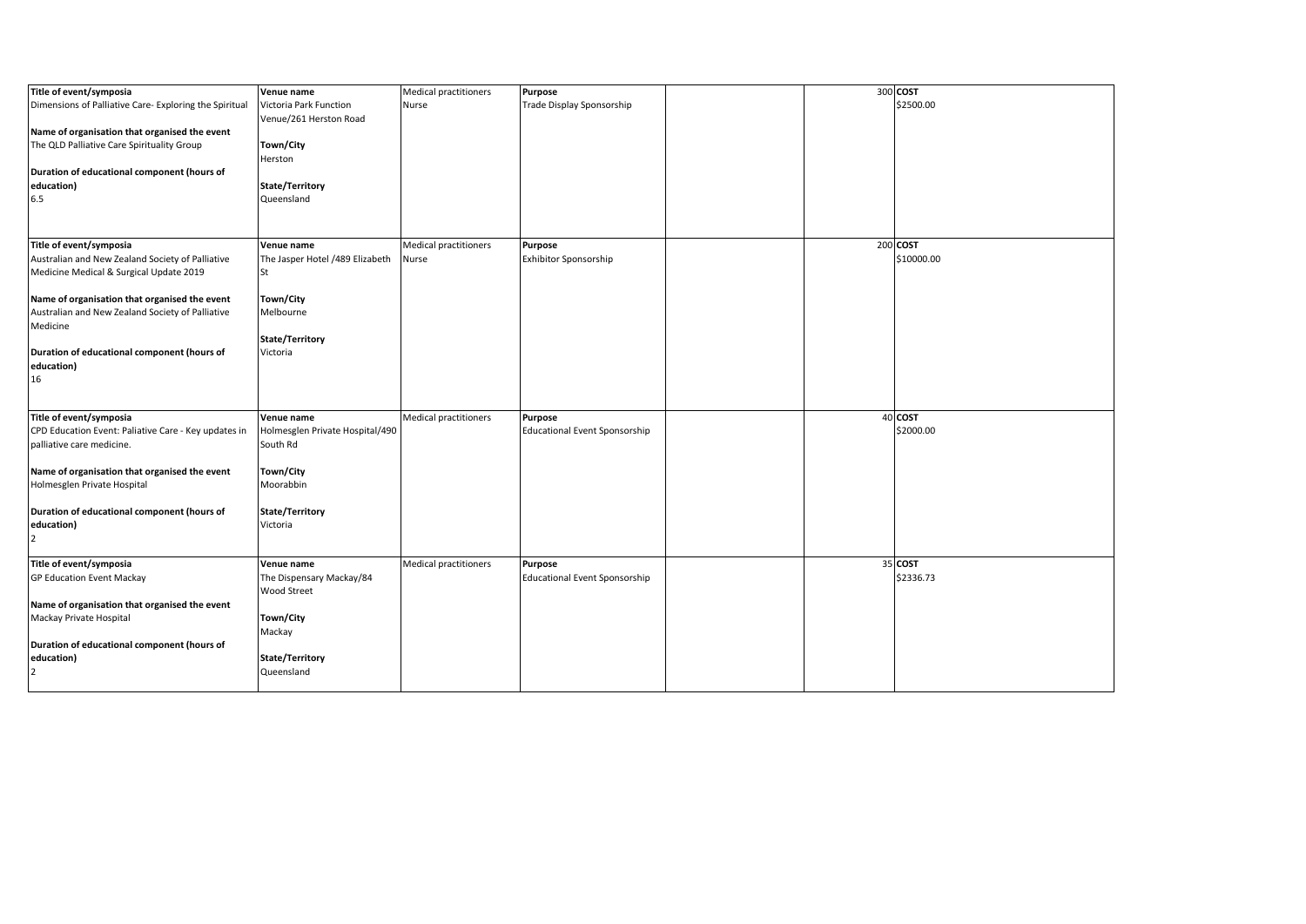| Title of event/symposia                                                  | Venue name                      | Medical practitioners        | Purpose                              |  | 300 COST   |
|--------------------------------------------------------------------------|---------------------------------|------------------------------|--------------------------------------|--|------------|
| Dimensions of Palliative Care- Exploring the Spiritual                   | Victoria Park Function          | Nurse                        | Trade Display Sponsorship            |  | \$2500.00  |
|                                                                          | Venue/261 Herston Road          |                              |                                      |  |            |
| Name of organisation that organised the event                            |                                 |                              |                                      |  |            |
| The QLD Palliative Care Spirituality Group                               | Town/City                       |                              |                                      |  |            |
|                                                                          | Herston                         |                              |                                      |  |            |
| Duration of educational component (hours of                              |                                 |                              |                                      |  |            |
| education)                                                               | State/Territory                 |                              |                                      |  |            |
| 6.5                                                                      | Queensland                      |                              |                                      |  |            |
|                                                                          |                                 |                              |                                      |  |            |
|                                                                          |                                 |                              |                                      |  |            |
| Title of event/symposia                                                  | Venue name                      | Medical practitioners        | Purpose                              |  | 200 COST   |
| Australian and New Zealand Society of Palliative                         | The Jasper Hotel /489 Elizabeth | Nurse                        | Exhibitor Sponsorship                |  | \$10000.00 |
| Medicine Medical & Surgical Update 2019                                  | <b>St</b>                       |                              |                                      |  |            |
|                                                                          |                                 |                              |                                      |  |            |
| Name of organisation that organised the event                            | Town/City                       |                              |                                      |  |            |
| Australian and New Zealand Society of Palliative                         | Melbourne                       |                              |                                      |  |            |
| Medicine                                                                 |                                 |                              |                                      |  |            |
|                                                                          | State/Territory                 |                              |                                      |  |            |
| Duration of educational component (hours of                              | Victoria                        |                              |                                      |  |            |
| education)                                                               |                                 |                              |                                      |  |            |
| 16                                                                       |                                 |                              |                                      |  |            |
|                                                                          |                                 |                              |                                      |  |            |
| Title of event/symposia                                                  | Venue name                      | <b>Medical practitioners</b> | Purpose                              |  | 40 COST    |
| CPD Education Event: Paliative Care - Key updates in                     | Holmesglen Private Hospital/490 |                              | <b>Educational Event Sponsorship</b> |  | \$2000.00  |
| palliative care medicine.                                                | South Rd                        |                              |                                      |  |            |
|                                                                          |                                 |                              |                                      |  |            |
| Name of organisation that organised the event                            | Town/City                       |                              |                                      |  |            |
| Holmesglen Private Hospital                                              | Moorabbin                       |                              |                                      |  |            |
|                                                                          |                                 |                              |                                      |  |            |
| Duration of educational component (hours of                              | State/Territory                 |                              |                                      |  |            |
| education)                                                               | Victoria                        |                              |                                      |  |            |
| $\overline{2}$                                                           |                                 |                              |                                      |  |            |
|                                                                          |                                 |                              |                                      |  |            |
| Title of event/symposia                                                  | Venue name                      | <b>Medical practitioners</b> | Purpose                              |  | 35 COST    |
| <b>GP Education Event Mackay</b>                                         | The Dispensary Mackay/84        |                              | <b>Educational Event Sponsorship</b> |  | \$2336.73  |
|                                                                          | Wood Street                     |                              |                                      |  |            |
| Name of organisation that organised the event<br>Mackay Private Hospital | Town/City                       |                              |                                      |  |            |
|                                                                          | Mackay                          |                              |                                      |  |            |
| Duration of educational component (hours of                              |                                 |                              |                                      |  |            |
| education)                                                               | State/Territory                 |                              |                                      |  |            |
| $\overline{2}$                                                           | Queensland                      |                              |                                      |  |            |
|                                                                          |                                 |                              |                                      |  |            |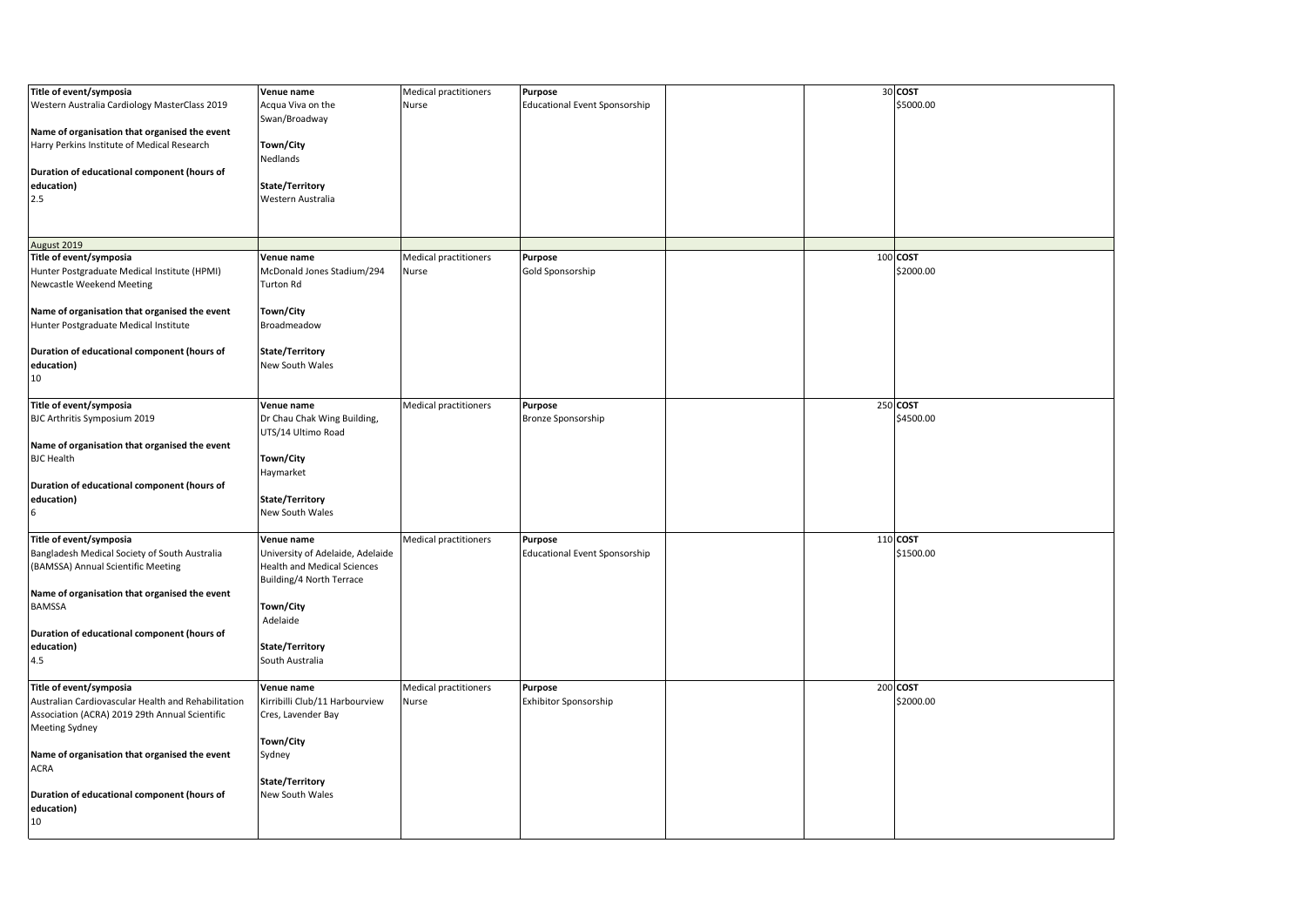| Title of event/symposia                             | Venue name                         | Medical practitioners        | <b>Purpose</b>                       |  | 30 COST   |
|-----------------------------------------------------|------------------------------------|------------------------------|--------------------------------------|--|-----------|
|                                                     |                                    |                              |                                      |  | \$5000.00 |
| Western Australia Cardiology MasterClass 2019       | Acqua Viva on the                  | Nurse                        | <b>Educational Event Sponsorship</b> |  |           |
|                                                     | Swan/Broadway                      |                              |                                      |  |           |
| Name of organisation that organised the event       |                                    |                              |                                      |  |           |
| Harry Perkins Institute of Medical Research         | Town/City                          |                              |                                      |  |           |
|                                                     | Nedlands                           |                              |                                      |  |           |
| Duration of educational component (hours of         |                                    |                              |                                      |  |           |
| education)                                          | State/Territory                    |                              |                                      |  |           |
| 2.5                                                 | Western Australia                  |                              |                                      |  |           |
|                                                     |                                    |                              |                                      |  |           |
|                                                     |                                    |                              |                                      |  |           |
|                                                     |                                    |                              |                                      |  |           |
| August 2019                                         |                                    |                              |                                      |  |           |
| Title of event/symposia                             | Venue name                         | Medical practitioners        | <b>Purpose</b>                       |  | 100 COST  |
| Hunter Postgraduate Medical Institute (HPMI)        | McDonald Jones Stadium/294         | Nurse                        | Gold Sponsorship                     |  | \$2000.00 |
| Newcastle Weekend Meeting                           | <b>Turton Rd</b>                   |                              |                                      |  |           |
|                                                     |                                    |                              |                                      |  |           |
| Name of organisation that organised the event       | Town/City                          |                              |                                      |  |           |
|                                                     |                                    |                              |                                      |  |           |
| Hunter Postgraduate Medical Institute               | Broadmeadow                        |                              |                                      |  |           |
|                                                     |                                    |                              |                                      |  |           |
| Duration of educational component (hours of         | State/Territory                    |                              |                                      |  |           |
| education)                                          | <b>New South Wales</b>             |                              |                                      |  |           |
| 10                                                  |                                    |                              |                                      |  |           |
|                                                     |                                    |                              |                                      |  |           |
| Title of event/symposia                             | Venue name                         | Medical practitioners        | <b>Purpose</b>                       |  | 250 COST  |
| BJC Arthritis Symposium 2019                        | Dr Chau Chak Wing Building,        |                              | <b>Bronze Sponsorship</b>            |  | \$4500.00 |
|                                                     | UTS/14 Ultimo Road                 |                              |                                      |  |           |
| Name of organisation that organised the event       |                                    |                              |                                      |  |           |
| <b>BJC Health</b>                                   | Town/City                          |                              |                                      |  |           |
|                                                     |                                    |                              |                                      |  |           |
|                                                     | Haymarket                          |                              |                                      |  |           |
| Duration of educational component (hours of         |                                    |                              |                                      |  |           |
| education)                                          | State/Territory                    |                              |                                      |  |           |
| 6                                                   | New South Wales                    |                              |                                      |  |           |
|                                                     |                                    |                              |                                      |  |           |
| Title of event/symposia                             | Venue name                         | Medical practitioners        | <b>Purpose</b>                       |  | 110 COST  |
| Bangladesh Medical Society of South Australia       | University of Adelaide, Adelaide   |                              | <b>Educational Event Sponsorship</b> |  | \$1500.00 |
| (BAMSSA) Annual Scientific Meeting                  | <b>Health and Medical Sciences</b> |                              |                                      |  |           |
|                                                     | Building/4 North Terrace           |                              |                                      |  |           |
| Name of organisation that organised the event       |                                    |                              |                                      |  |           |
| <b>BAMSSA</b>                                       | Town/City                          |                              |                                      |  |           |
|                                                     | Adelaide                           |                              |                                      |  |           |
|                                                     |                                    |                              |                                      |  |           |
| Duration of educational component (hours of         |                                    |                              |                                      |  |           |
| education)                                          | State/Territory                    |                              |                                      |  |           |
| 4.5                                                 | South Australia                    |                              |                                      |  |           |
|                                                     |                                    |                              |                                      |  |           |
| Title of event/symposia                             | Venue name                         | <b>Medical practitioners</b> | <b>Purpose</b>                       |  | 200 COST  |
| Australian Cardiovascular Health and Rehabilitation | Kirribilli Club/11 Harbourview     | Nurse                        | <b>Exhibitor Sponsorship</b>         |  | \$2000.00 |
| Association (ACRA) 2019 29th Annual Scientific      | Cres, Lavender Bay                 |                              |                                      |  |           |
| <b>Meeting Sydney</b>                               |                                    |                              |                                      |  |           |
|                                                     | Town/City                          |                              |                                      |  |           |
| Name of organisation that organised the event       | Sydney                             |                              |                                      |  |           |
| <b>ACRA</b>                                         |                                    |                              |                                      |  |           |
|                                                     | State/Territory                    |                              |                                      |  |           |
| Duration of educational component (hours of         | New South Wales                    |                              |                                      |  |           |
| education)                                          |                                    |                              |                                      |  |           |
|                                                     |                                    |                              |                                      |  |           |
| 10                                                  |                                    |                              |                                      |  |           |
|                                                     |                                    |                              |                                      |  |           |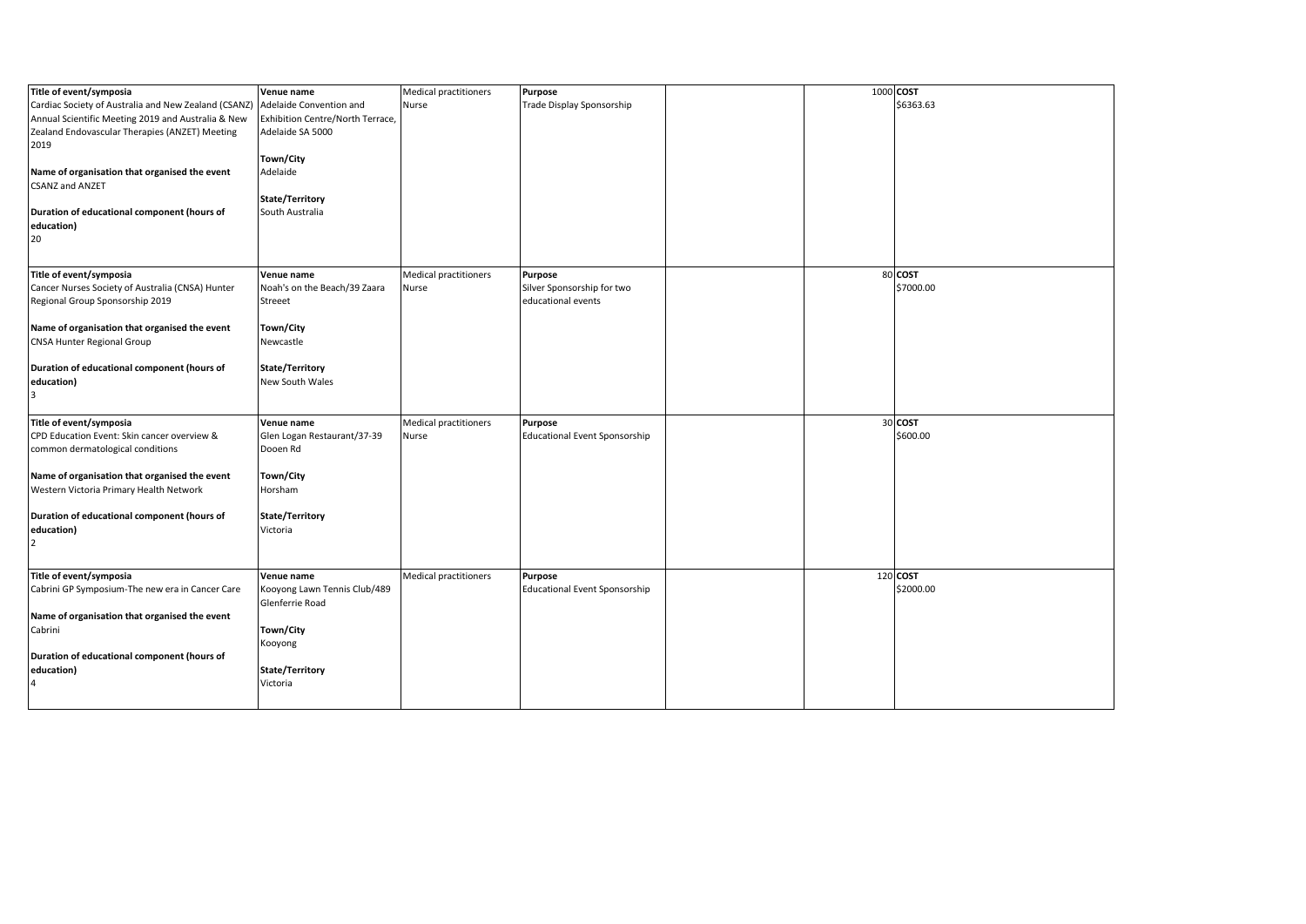| Title of event/symposia                              | Venue name                       | Medical practitioners        | Purpose                              | 1000 COST |           |
|------------------------------------------------------|----------------------------------|------------------------------|--------------------------------------|-----------|-----------|
| Cardiac Society of Australia and New Zealand (CSANZ) | Adelaide Convention and          | Nurse                        | Trade Display Sponsorship            |           | \$6363.63 |
| Annual Scientific Meeting 2019 and Australia & New   | Exhibition Centre/North Terrace, |                              |                                      |           |           |
| Zealand Endovascular Therapies (ANZET) Meeting       | Adelaide SA 5000                 |                              |                                      |           |           |
| 2019                                                 |                                  |                              |                                      |           |           |
|                                                      | Town/City                        |                              |                                      |           |           |
| Name of organisation that organised the event        | Adelaide                         |                              |                                      |           |           |
| <b>CSANZ and ANZET</b>                               |                                  |                              |                                      |           |           |
|                                                      | State/Territory                  |                              |                                      |           |           |
| Duration of educational component (hours of          | South Australia                  |                              |                                      |           |           |
| education)                                           |                                  |                              |                                      |           |           |
| 20                                                   |                                  |                              |                                      |           |           |
|                                                      |                                  |                              |                                      |           |           |
|                                                      |                                  |                              |                                      |           |           |
| Title of event/symposia                              | Venue name                       | <b>Medical practitioners</b> | Purpose                              |           | 80 COST   |
| Cancer Nurses Society of Australia (CNSA) Hunter     | Noah's on the Beach/39 Zaara     | Nurse                        | Silver Sponsorship for two           |           | \$7000.00 |
| Regional Group Sponsorship 2019                      | Streeet                          |                              | educational events                   |           |           |
|                                                      |                                  |                              |                                      |           |           |
| Name of organisation that organised the event        | Town/City                        |                              |                                      |           |           |
| <b>CNSA Hunter Regional Group</b>                    | Newcastle                        |                              |                                      |           |           |
|                                                      |                                  |                              |                                      |           |           |
| Duration of educational component (hours of          | State/Territory                  |                              |                                      |           |           |
| education)                                           | New South Wales                  |                              |                                      |           |           |
| $\overline{3}$                                       |                                  |                              |                                      |           |           |
| Title of event/symposia                              | Venue name                       | <b>Medical practitioners</b> | Purpose                              |           | 30 COST   |
| CPD Education Event: Skin cancer overview &          | Glen Logan Restaurant/37-39      | Nurse                        | <b>Educational Event Sponsorship</b> |           | \$600.00  |
| common dermatological conditions                     | Dooen Rd                         |                              |                                      |           |           |
|                                                      |                                  |                              |                                      |           |           |
| Name of organisation that organised the event        | Town/City                        |                              |                                      |           |           |
| Western Victoria Primary Health Network              | Horsham                          |                              |                                      |           |           |
|                                                      |                                  |                              |                                      |           |           |
| Duration of educational component (hours of          | State/Territory                  |                              |                                      |           |           |
| education)                                           | Victoria                         |                              |                                      |           |           |
| $\overline{2}$                                       |                                  |                              |                                      |           |           |
|                                                      |                                  |                              |                                      |           |           |
| Title of event/symposia                              | Venue name                       | Medical practitioners        | Purpose                              |           | 120 COST  |
| Cabrini GP Symposium-The new era in Cancer Care      | Kooyong Lawn Tennis Club/489     |                              | <b>Educational Event Sponsorship</b> |           | \$2000.00 |
|                                                      | Glenferrie Road                  |                              |                                      |           |           |
| Name of organisation that organised the event        |                                  |                              |                                      |           |           |
| Cabrini                                              | Town/City                        |                              |                                      |           |           |
|                                                      | Kooyong                          |                              |                                      |           |           |
| Duration of educational component (hours of          |                                  |                              |                                      |           |           |
| education)                                           | State/Territory                  |                              |                                      |           |           |
| 4                                                    | Victoria                         |                              |                                      |           |           |
|                                                      |                                  |                              |                                      |           |           |
|                                                      |                                  |                              |                                      |           |           |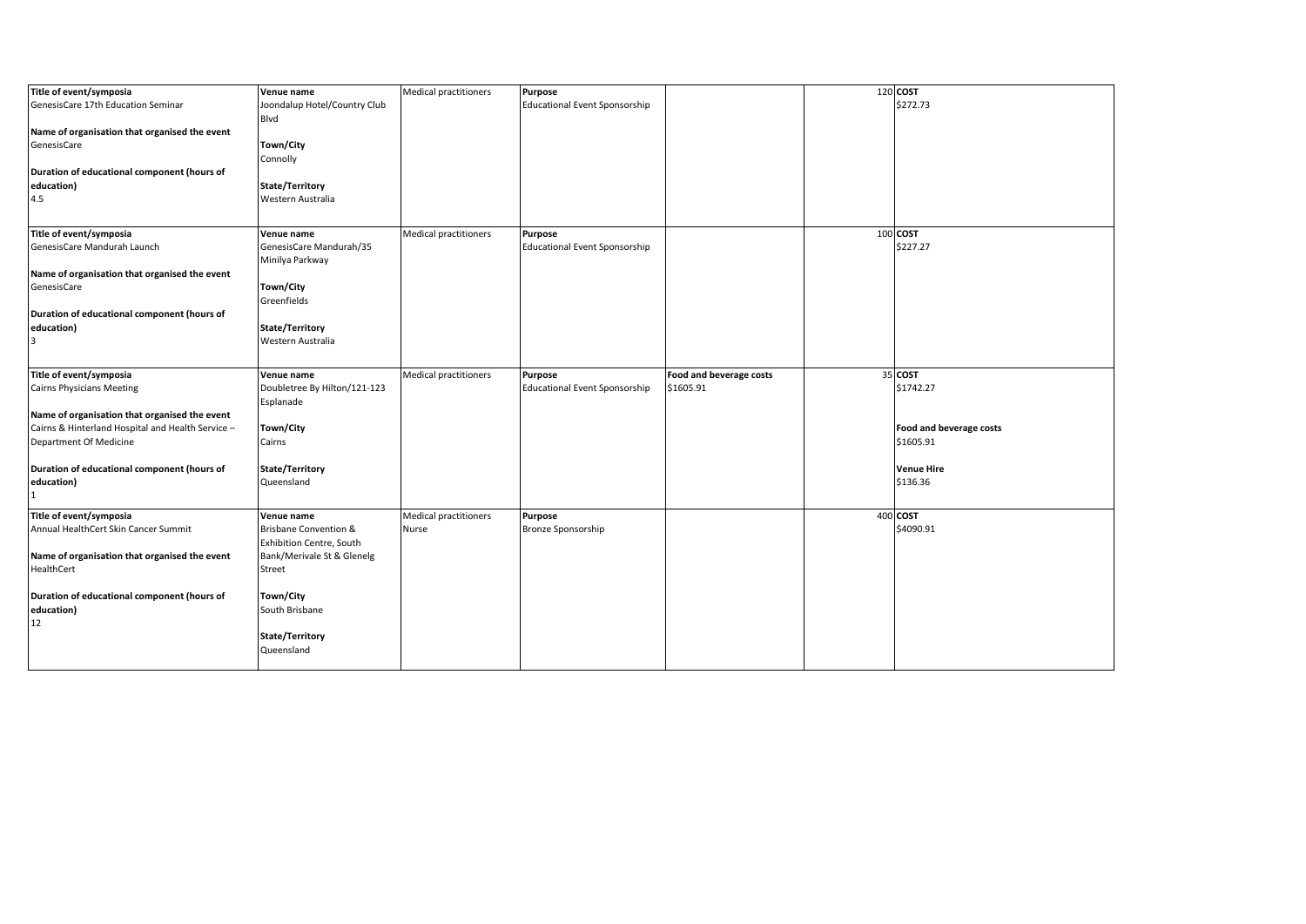| Title of event/symposia                           | Venue name                       | <b>Medical practitioners</b> | <b>Purpose</b>                       |                         | 120 COST                |
|---------------------------------------------------|----------------------------------|------------------------------|--------------------------------------|-------------------------|-------------------------|
| GenesisCare 17th Education Seminar                | Joondalup Hotel/Country Club     |                              | <b>Educational Event Sponsorship</b> |                         | \$272.73                |
|                                                   | Blvd                             |                              |                                      |                         |                         |
| Name of organisation that organised the event     |                                  |                              |                                      |                         |                         |
| GenesisCare                                       | Town/City                        |                              |                                      |                         |                         |
|                                                   |                                  |                              |                                      |                         |                         |
|                                                   | Connolly                         |                              |                                      |                         |                         |
| Duration of educational component (hours of       |                                  |                              |                                      |                         |                         |
| education)                                        | State/Territory                  |                              |                                      |                         |                         |
| 4.5                                               | Western Australia                |                              |                                      |                         |                         |
|                                                   |                                  |                              |                                      |                         |                         |
| Title of event/symposia                           | Venue name                       | <b>Medical practitioners</b> | Purpose                              |                         | 100 COST                |
| GenesisCare Mandurah Launch                       | GenesisCare Mandurah/35          |                              | <b>Educational Event Sponsorship</b> |                         | \$227.27                |
|                                                   |                                  |                              |                                      |                         |                         |
|                                                   | Minilya Parkway                  |                              |                                      |                         |                         |
| Name of organisation that organised the event     |                                  |                              |                                      |                         |                         |
| GenesisCare                                       | Town/City                        |                              |                                      |                         |                         |
|                                                   | Greenfields                      |                              |                                      |                         |                         |
| Duration of educational component (hours of       |                                  |                              |                                      |                         |                         |
| education)                                        | State/Territory                  |                              |                                      |                         |                         |
| 3                                                 | Western Australia                |                              |                                      |                         |                         |
|                                                   |                                  |                              |                                      |                         |                         |
|                                                   |                                  |                              |                                      |                         | 35 COST                 |
| Title of event/symposia                           | Venue name                       | <b>Medical practitioners</b> | Purpose                              | Food and beverage costs |                         |
| <b>Cairns Physicians Meeting</b>                  | Doubletree By Hilton/121-123     |                              | <b>Educational Event Sponsorship</b> | \$1605.91               | \$1742.27               |
|                                                   | Esplanade                        |                              |                                      |                         |                         |
| Name of organisation that organised the event     |                                  |                              |                                      |                         |                         |
| Cairns & Hinterland Hospital and Health Service - | Town/City                        |                              |                                      |                         | Food and beverage costs |
| Department Of Medicine                            | Cairns                           |                              |                                      |                         | \$1605.91               |
|                                                   |                                  |                              |                                      |                         |                         |
| Duration of educational component (hours of       | State/Territory                  |                              |                                      |                         | <b>Venue Hire</b>       |
| education)                                        | Queensland                       |                              |                                      |                         | \$136.36                |
| $\mathbf{1}$                                      |                                  |                              |                                      |                         |                         |
| Title of event/symposia                           |                                  |                              |                                      |                         | 400 COST                |
|                                                   | Venue name                       | <b>Medical practitioners</b> | <b>Purpose</b>                       |                         |                         |
| Annual HealthCert Skin Cancer Summit              | <b>Brisbane Convention &amp;</b> | Nurse                        | Bronze Sponsorship                   |                         | \$4090.91               |
|                                                   | <b>Exhibition Centre, South</b>  |                              |                                      |                         |                         |
| Name of organisation that organised the event     | Bank/Merivale St & Glenelg       |                              |                                      |                         |                         |
| HealthCert                                        | Street                           |                              |                                      |                         |                         |
|                                                   |                                  |                              |                                      |                         |                         |
| Duration of educational component (hours of       | Town/City                        |                              |                                      |                         |                         |
| education)                                        | South Brisbane                   |                              |                                      |                         |                         |
| 12                                                |                                  |                              |                                      |                         |                         |
|                                                   | State/Territory                  |                              |                                      |                         |                         |
|                                                   | Queensland                       |                              |                                      |                         |                         |
|                                                   |                                  |                              |                                      |                         |                         |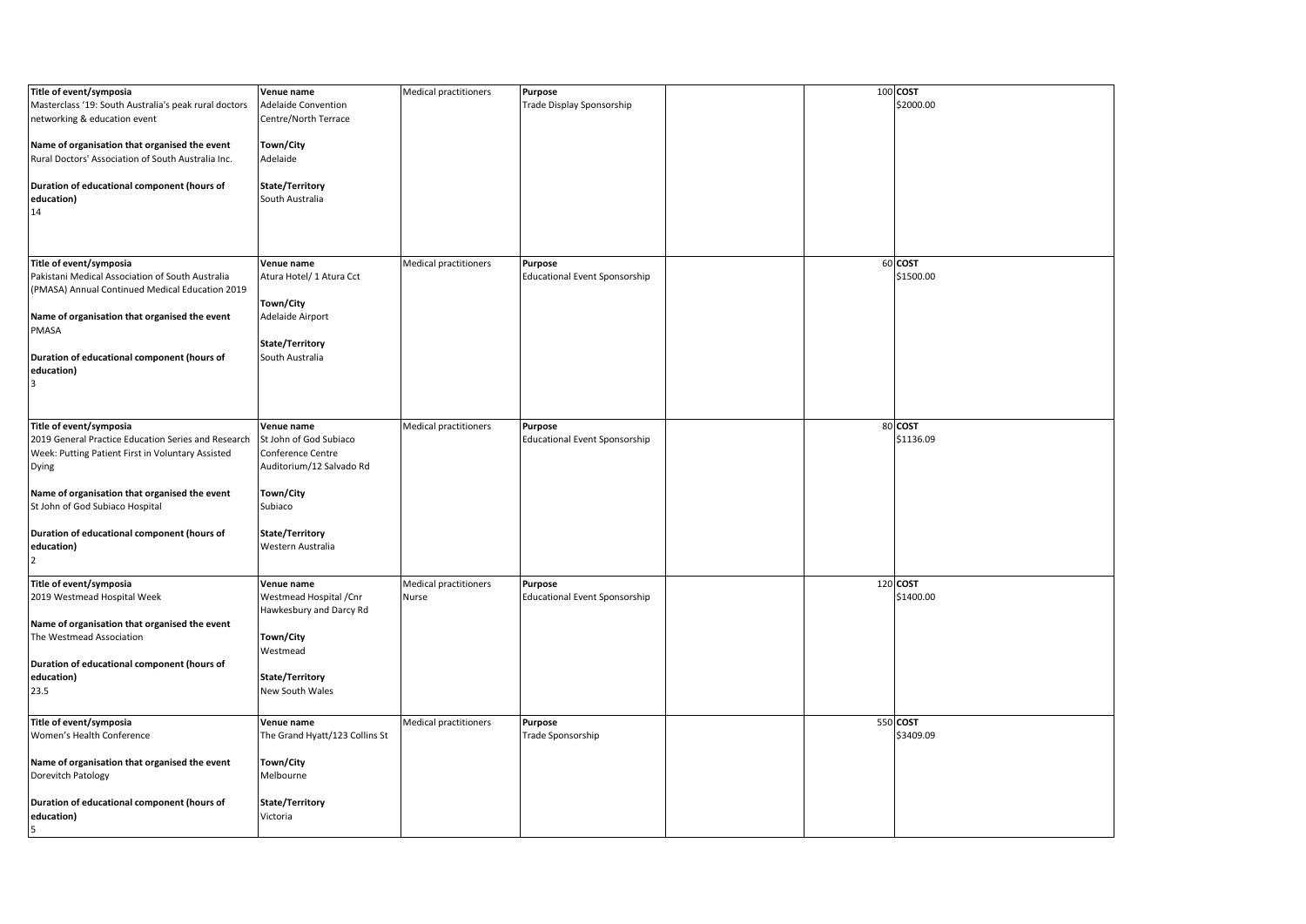| Title of event/symposia<br>Masterclass '19: South Australia's peak rural doctors                         | Venue name<br><b>Adelaide Convention</b>         | <b>Medical practitioners</b>          | <b>Purpose</b><br>Trade Display Sponsorship            |  | 100 COST<br>\$2000.00 |
|----------------------------------------------------------------------------------------------------------|--------------------------------------------------|---------------------------------------|--------------------------------------------------------|--|-----------------------|
| networking & education event                                                                             | Centre/North Terrace                             |                                       |                                                        |  |                       |
| Name of organisation that organised the event<br>Rural Doctors' Association of South Australia Inc.      | Town/City<br>Adelaide                            |                                       |                                                        |  |                       |
| Duration of educational component (hours of<br>education)<br>14                                          | State/Territory<br>South Australia               |                                       |                                                        |  |                       |
| Title of event/symposia                                                                                  | Venue name                                       | <b>Medical practitioners</b>          | Purpose                                                |  | 60 COST               |
| Pakistani Medical Association of South Australia<br>(PMASA) Annual Continued Medical Education 2019      | Atura Hotel/ 1 Atura Cct                         |                                       | <b>Educational Event Sponsorship</b>                   |  | \$1500.00             |
| Name of organisation that organised the event<br>PMASA                                                   | Town/City<br>Adelaide Airport                    |                                       |                                                        |  |                       |
| Duration of educational component (hours of<br>education)<br>3                                           | State/Territory<br>South Australia               |                                       |                                                        |  |                       |
| Title of event/symposia                                                                                  | Venue name                                       | <b>Medical practitioners</b>          | <b>Purpose</b>                                         |  | 80 COST               |
| 2019 General Practice Education Series and Research<br>Week: Putting Patient First in Voluntary Assisted | St John of God Subiaco<br>Conference Centre      |                                       | <b>Educational Event Sponsorship</b>                   |  | \$1136.09             |
| Dying                                                                                                    | Auditorium/12 Salvado Rd                         |                                       |                                                        |  |                       |
| Name of organisation that organised the event<br>St John of God Subiaco Hospital                         | Town/City<br>Subiaco                             |                                       |                                                        |  |                       |
| Duration of educational component (hours of<br>education)<br>$\overline{2}$                              | State/Territory<br>Western Australia             |                                       |                                                        |  |                       |
| Title of event/symposia<br>2019 Westmead Hospital Week                                                   | Venue name<br>Westmead Hospital / Cnr            | <b>Medical practitioners</b><br>Nurse | <b>Purpose</b><br><b>Educational Event Sponsorship</b> |  | 120 COST<br>\$1400.00 |
| Name of organisation that organised the event<br>The Westmead Association                                | Hawkesbury and Darcy Rd<br>Town/City<br>Westmead |                                       |                                                        |  |                       |
| Duration of educational component (hours of<br>education)<br>23.5                                        | State/Territory<br>New South Wales               |                                       |                                                        |  |                       |
| Title of event/symposia<br>Women's Health Conference                                                     | Venue name<br>The Grand Hyatt/123 Collins St     | Medical practitioners                 | <b>Purpose</b><br>Trade Sponsorship                    |  | 550 COST<br>\$3409.09 |
| Name of organisation that organised the event<br>Dorevitch Patology                                      | Town/City<br>Melbourne                           |                                       |                                                        |  |                       |
| Duration of educational component (hours of<br>education)<br>5                                           | State/Territory<br>Victoria                      |                                       |                                                        |  |                       |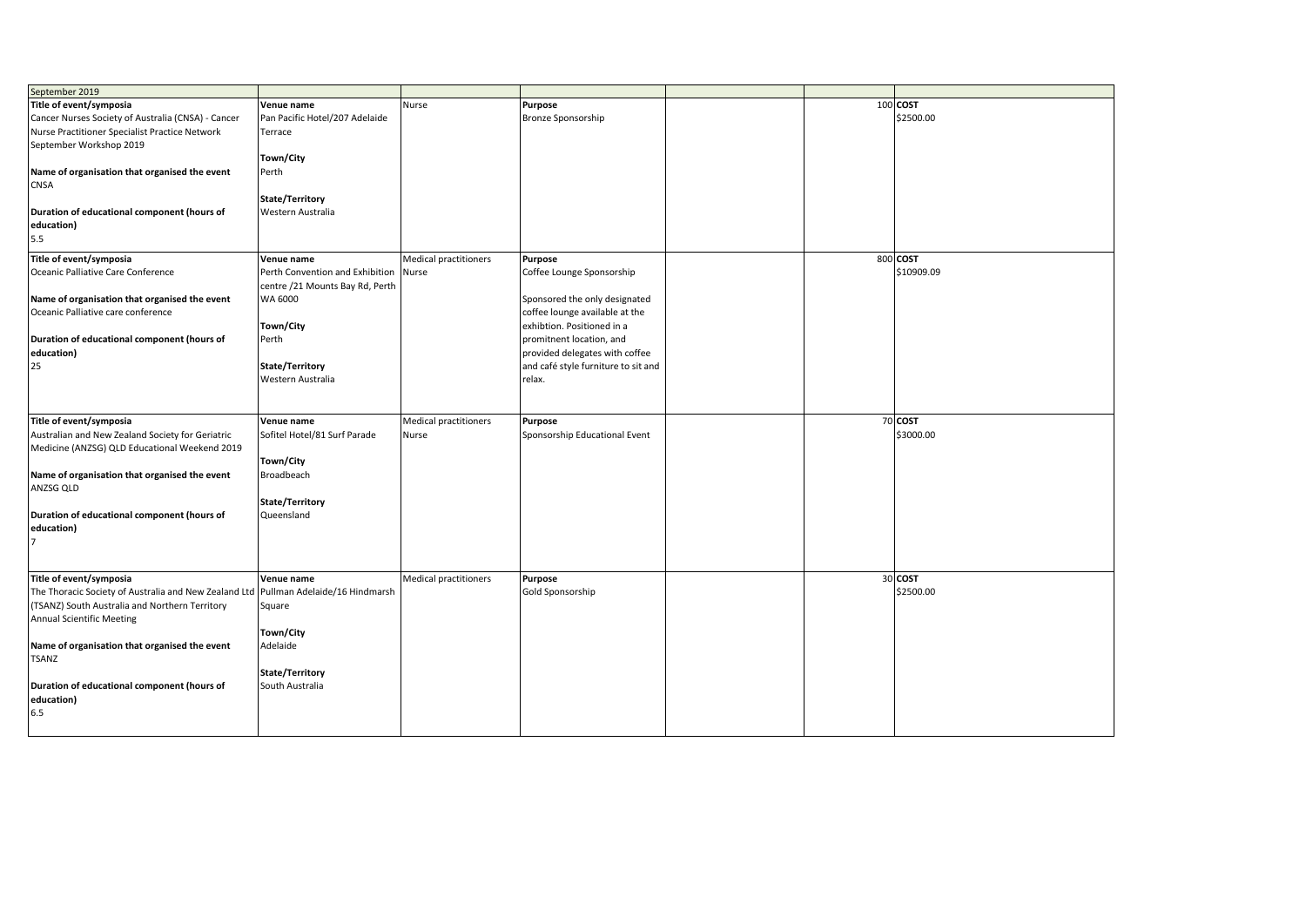| September 2019                                                                      |                                 |                              |                                     |  |            |
|-------------------------------------------------------------------------------------|---------------------------------|------------------------------|-------------------------------------|--|------------|
| Title of event/symposia                                                             | Venue name                      | Nurse                        | Purpose                             |  | 100 COST   |
| Cancer Nurses Society of Australia (CNSA) - Cancer                                  | Pan Pacific Hotel/207 Adelaide  |                              | <b>Bronze Sponsorship</b>           |  | \$2500.00  |
| Nurse Practitioner Specialist Practice Network                                      | Terrace                         |                              |                                     |  |            |
| September Workshop 2019                                                             |                                 |                              |                                     |  |            |
|                                                                                     | Town/City                       |                              |                                     |  |            |
| Name of organisation that organised the event                                       | Perth                           |                              |                                     |  |            |
| CNSA                                                                                |                                 |                              |                                     |  |            |
|                                                                                     | State/Territory                 |                              |                                     |  |            |
| Duration of educational component (hours of                                         | Western Australia               |                              |                                     |  |            |
|                                                                                     |                                 |                              |                                     |  |            |
| education)                                                                          |                                 |                              |                                     |  |            |
| 5.5                                                                                 |                                 |                              |                                     |  |            |
| Title of event/symposia                                                             | Venue name                      | <b>Medical practitioners</b> | Purpose                             |  | 800 COST   |
| Oceanic Palliative Care Conference                                                  | Perth Convention and Exhibition | Nurse                        | Coffee Lounge Sponsorship           |  | \$10909.09 |
|                                                                                     | centre /21 Mounts Bay Rd, Perth |                              |                                     |  |            |
| Name of organisation that organised the event                                       | WA 6000                         |                              | Sponsored the only designated       |  |            |
| Oceanic Palliative care conference                                                  |                                 |                              | coffee lounge available at the      |  |            |
|                                                                                     | Town/City                       |                              | exhibtion. Positioned in a          |  |            |
| Duration of educational component (hours of                                         | Perth                           |                              | promitnent location, and            |  |            |
| education)                                                                          |                                 |                              | provided delegates with coffee      |  |            |
| 25                                                                                  | State/Territory                 |                              | and café style furniture to sit and |  |            |
|                                                                                     | Western Australia               |                              | relax.                              |  |            |
|                                                                                     |                                 |                              |                                     |  |            |
|                                                                                     |                                 |                              |                                     |  |            |
| Title of event/symposia                                                             | Venue name                      | <b>Medical practitioners</b> | Purpose                             |  | 70 COST    |
| Australian and New Zealand Society for Geriatric                                    | Sofitel Hotel/81 Surf Parade    | Nurse                        | Sponsorship Educational Event       |  | \$3000.00  |
|                                                                                     |                                 |                              |                                     |  |            |
| Medicine (ANZSG) QLD Educational Weekend 2019                                       | Town/City                       |                              |                                     |  |            |
|                                                                                     |                                 |                              |                                     |  |            |
|                                                                                     |                                 |                              |                                     |  |            |
| Name of organisation that organised the event                                       | Broadbeach                      |                              |                                     |  |            |
| ANZSG QLD                                                                           |                                 |                              |                                     |  |            |
|                                                                                     | State/Territory                 |                              |                                     |  |            |
| Duration of educational component (hours of                                         | Queensland                      |                              |                                     |  |            |
| education)                                                                          |                                 |                              |                                     |  |            |
|                                                                                     |                                 |                              |                                     |  |            |
|                                                                                     |                                 |                              |                                     |  |            |
|                                                                                     |                                 |                              |                                     |  |            |
| Title of event/symposia                                                             | Venue name                      | <b>Medical practitioners</b> | Purpose                             |  | 30 COST    |
| The Thoracic Society of Australia and New Zealand Ltd Pullman Adelaide/16 Hindmarsh |                                 |                              | Gold Sponsorship                    |  | \$2500.00  |
| (TSANZ) South Australia and Northern Territory                                      | Square                          |                              |                                     |  |            |
| <b>Annual Scientific Meeting</b>                                                    |                                 |                              |                                     |  |            |
|                                                                                     | Town/City                       |                              |                                     |  |            |
| Name of organisation that organised the event                                       | Adelaide                        |                              |                                     |  |            |
| <b>TSANZ</b>                                                                        |                                 |                              |                                     |  |            |
|                                                                                     | State/Territory                 |                              |                                     |  |            |
| Duration of educational component (hours of                                         | South Australia                 |                              |                                     |  |            |
| education)                                                                          |                                 |                              |                                     |  |            |
| 6.5                                                                                 |                                 |                              |                                     |  |            |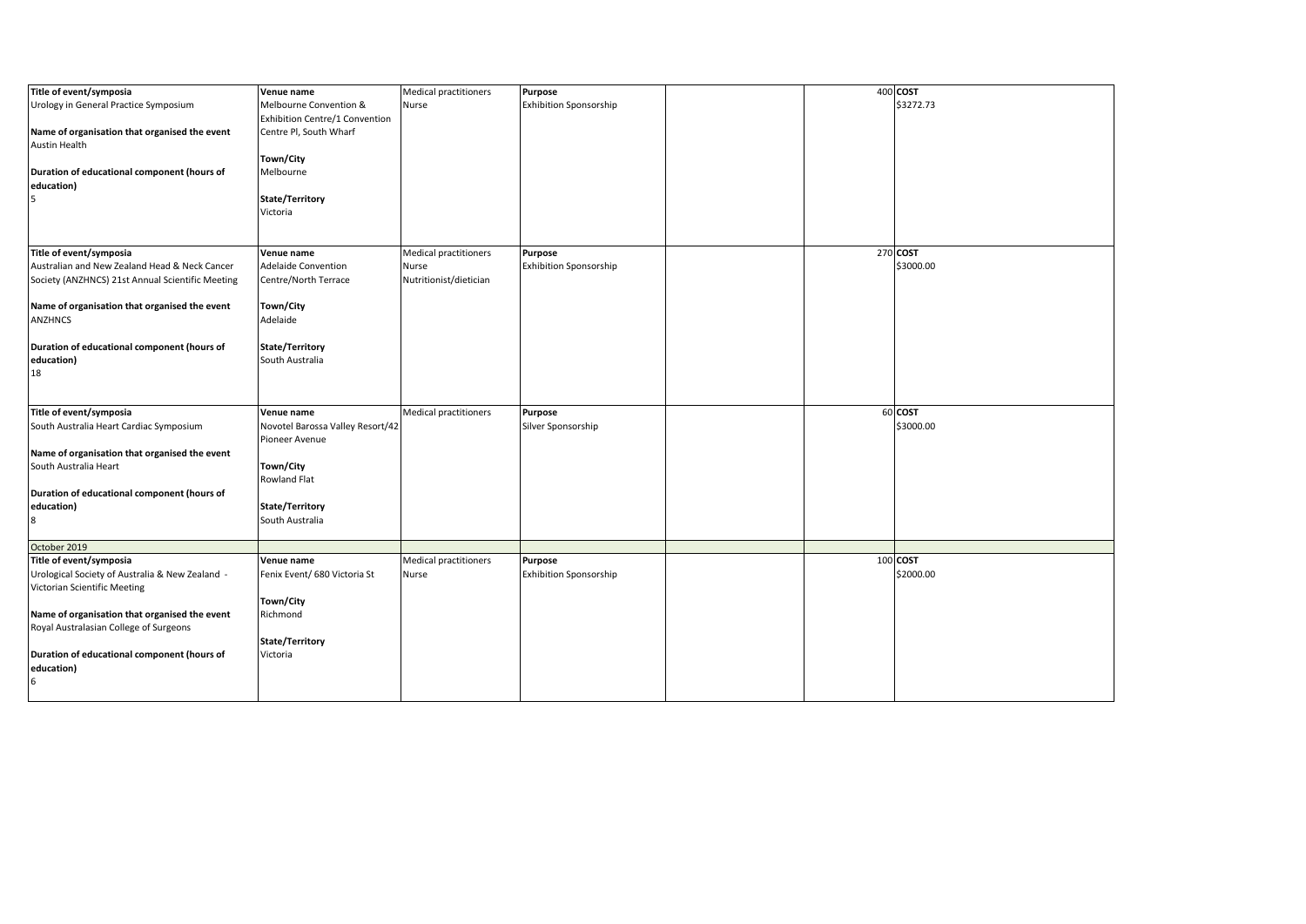| Title of event/symposia                          | Venue name                       | <b>Medical practitioners</b> | Purpose                       |  | 400 COST  |
|--------------------------------------------------|----------------------------------|------------------------------|-------------------------------|--|-----------|
| Urology in General Practice Symposium            | Melbourne Convention &           | Nurse                        | <b>Exhibition Sponsorship</b> |  | \$3272.73 |
|                                                  | Exhibition Centre/1 Convention   |                              |                               |  |           |
| Name of organisation that organised the event    | Centre Pl, South Wharf           |                              |                               |  |           |
| <b>Austin Health</b>                             |                                  |                              |                               |  |           |
|                                                  | Town/City                        |                              |                               |  |           |
| Duration of educational component (hours of      | Melbourne                        |                              |                               |  |           |
| education)                                       |                                  |                              |                               |  |           |
| 5                                                | State/Territory                  |                              |                               |  |           |
|                                                  | Victoria                         |                              |                               |  |           |
|                                                  |                                  |                              |                               |  |           |
|                                                  |                                  |                              |                               |  |           |
| Title of event/symposia                          | Venue name                       | <b>Medical practitioners</b> | Purpose                       |  | 270 COST  |
| Australian and New Zealand Head & Neck Cancer    | Adelaide Convention              | Nurse                        | <b>Exhibition Sponsorship</b> |  | \$3000.00 |
| Society (ANZHNCS) 21st Annual Scientific Meeting | Centre/North Terrace             | Nutritionist/dietician       |                               |  |           |
|                                                  |                                  |                              |                               |  |           |
| Name of organisation that organised the event    | Town/City                        |                              |                               |  |           |
| <b>ANZHNCS</b>                                   | Adelaide                         |                              |                               |  |           |
|                                                  |                                  |                              |                               |  |           |
| Duration of educational component (hours of      | State/Territory                  |                              |                               |  |           |
| education)                                       | South Australia                  |                              |                               |  |           |
| 18                                               |                                  |                              |                               |  |           |
|                                                  |                                  |                              |                               |  |           |
|                                                  |                                  |                              |                               |  |           |
| Title of event/symposia                          | Venue name                       | <b>Medical practitioners</b> | Purpose                       |  | 60 COST   |
| South Australia Heart Cardiac Symposium          | Novotel Barossa Valley Resort/42 |                              | Silver Sponsorship            |  | \$3000.00 |
|                                                  | Pioneer Avenue                   |                              |                               |  |           |
| Name of organisation that organised the event    |                                  |                              |                               |  |           |
| South Australia Heart                            | Town/City                        |                              |                               |  |           |
|                                                  | Rowland Flat                     |                              |                               |  |           |
| Duration of educational component (hours of      |                                  |                              |                               |  |           |
| education)                                       | State/Territory                  |                              |                               |  |           |
| 8                                                | South Australia                  |                              |                               |  |           |
|                                                  |                                  |                              |                               |  |           |
| October 2019                                     |                                  |                              |                               |  |           |
| Title of event/symposia                          | Venue name                       | Medical practitioners        | Purpose                       |  | 100 COST  |
| Urological Society of Australia & New Zealand -  | Fenix Event/ 680 Victoria St     | Nurse                        | <b>Exhibition Sponsorship</b> |  | \$2000.00 |
| Victorian Scientific Meeting                     |                                  |                              |                               |  |           |
|                                                  | Town/City                        |                              |                               |  |           |
| Name of organisation that organised the event    | Richmond                         |                              |                               |  |           |
| Royal Australasian College of Surgeons           |                                  |                              |                               |  |           |
|                                                  | State/Territory                  |                              |                               |  |           |
| Duration of educational component (hours of      | Victoria                         |                              |                               |  |           |
| education)                                       |                                  |                              |                               |  |           |
| 6                                                |                                  |                              |                               |  |           |
|                                                  |                                  |                              |                               |  |           |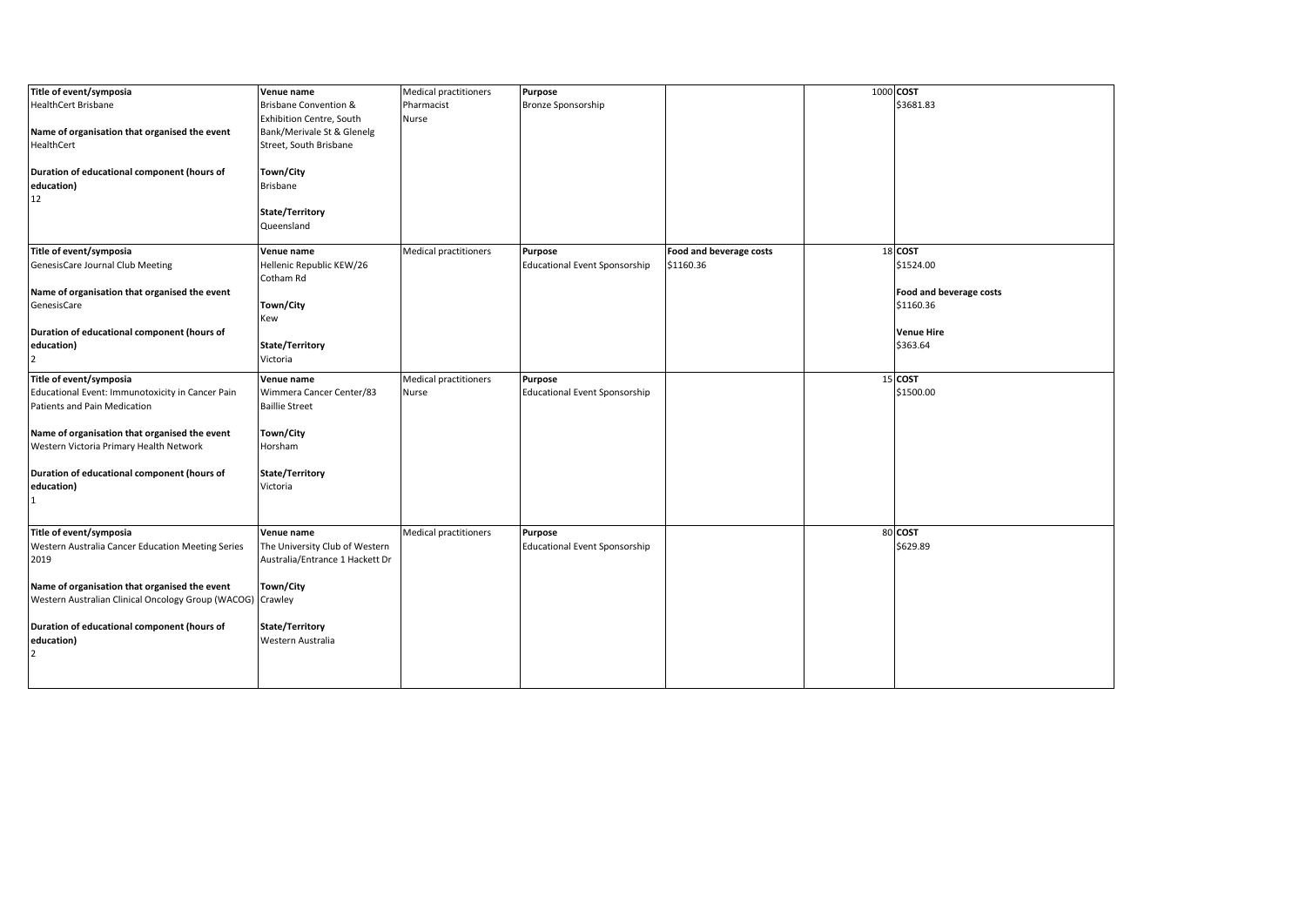| Title of event/symposia                                    | Venue name                       | Medical practitioners        | Purpose                              |                         | 1000 COST               |
|------------------------------------------------------------|----------------------------------|------------------------------|--------------------------------------|-------------------------|-------------------------|
| <b>HealthCert Brisbane</b>                                 | <b>Brisbane Convention &amp;</b> | Pharmacist                   | Bronze Sponsorship                   |                         | \$3681.83               |
|                                                            | Exhibition Centre, South         | Nurse                        |                                      |                         |                         |
| Name of organisation that organised the event              | Bank/Merivale St & Glenelg       |                              |                                      |                         |                         |
| HealthCert                                                 | Street, South Brisbane           |                              |                                      |                         |                         |
|                                                            |                                  |                              |                                      |                         |                         |
| Duration of educational component (hours of                | Town/City                        |                              |                                      |                         |                         |
| education)                                                 | <b>Brisbane</b>                  |                              |                                      |                         |                         |
| 12                                                         |                                  |                              |                                      |                         |                         |
|                                                            | State/Territory                  |                              |                                      |                         |                         |
|                                                            |                                  |                              |                                      |                         |                         |
|                                                            | Queensland                       |                              |                                      |                         |                         |
| Title of event/symposia                                    | Venue name                       | Medical practitioners        | Purpose                              | Food and beverage costs | 18 COST                 |
| GenesisCare Journal Club Meeting                           | Hellenic Republic KEW/26         |                              | <b>Educational Event Sponsorship</b> | \$1160.36               | \$1524.00               |
|                                                            | Cotham Rd                        |                              |                                      |                         |                         |
| Name of organisation that organised the event              |                                  |                              |                                      |                         | Food and beverage costs |
| GenesisCare                                                | Town/City                        |                              |                                      |                         | \$1160.36               |
|                                                            |                                  |                              |                                      |                         |                         |
|                                                            | Kew                              |                              |                                      |                         |                         |
| Duration of educational component (hours of                |                                  |                              |                                      |                         | <b>Venue Hire</b>       |
| education)                                                 | State/Territory                  |                              |                                      |                         | \$363.64                |
| $\overline{2}$                                             | Victoria                         |                              |                                      |                         |                         |
| Title of event/symposia                                    | Venue name                       | <b>Medical practitioners</b> | Purpose                              |                         | 15 COST                 |
| Educational Event: Immunotoxicity in Cancer Pain           | Wimmera Cancer Center/83         | Nurse                        | <b>Educational Event Sponsorship</b> |                         | \$1500.00               |
| Patients and Pain Medication                               | <b>Baillie Street</b>            |                              |                                      |                         |                         |
|                                                            |                                  |                              |                                      |                         |                         |
| Name of organisation that organised the event              | Town/City                        |                              |                                      |                         |                         |
| Western Victoria Primary Health Network                    | Horsham                          |                              |                                      |                         |                         |
|                                                            |                                  |                              |                                      |                         |                         |
| Duration of educational component (hours of                | State/Territory                  |                              |                                      |                         |                         |
| education)                                                 | Victoria                         |                              |                                      |                         |                         |
|                                                            |                                  |                              |                                      |                         |                         |
|                                                            |                                  |                              |                                      |                         |                         |
|                                                            |                                  |                              |                                      |                         |                         |
| Title of event/symposia                                    | Venue name                       | <b>Medical practitioners</b> | <b>Purpose</b>                       |                         | 80 COST                 |
| Western Australia Cancer Education Meeting Series          | The University Club of Western   |                              | <b>Educational Event Sponsorship</b> |                         | \$629.89                |
| 2019                                                       | Australia/Entrance 1 Hackett Dr  |                              |                                      |                         |                         |
|                                                            |                                  |                              |                                      |                         |                         |
| Name of organisation that organised the event              | Town/City                        |                              |                                      |                         |                         |
| Western Australian Clinical Oncology Group (WACOG) Crawley |                                  |                              |                                      |                         |                         |
|                                                            |                                  |                              |                                      |                         |                         |
| Duration of educational component (hours of                | State/Territory                  |                              |                                      |                         |                         |
| education)                                                 | Western Australia                |                              |                                      |                         |                         |
| $\overline{2}$                                             |                                  |                              |                                      |                         |                         |
|                                                            |                                  |                              |                                      |                         |                         |
|                                                            |                                  |                              |                                      |                         |                         |